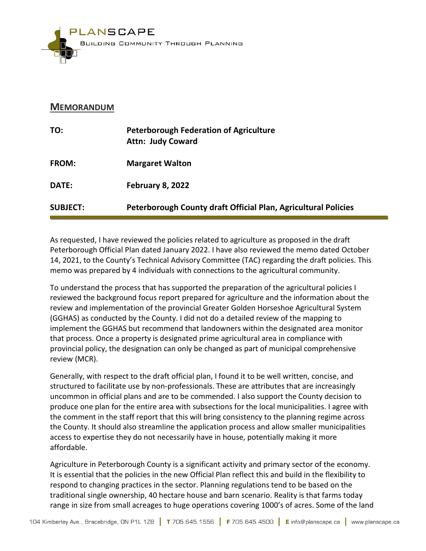

### **MEMORANDUM**

| TO:             | <b>Peterborough Federation of Agriculture</b><br><b>Attn: Judy Coward</b> |
|-----------------|---------------------------------------------------------------------------|
| <b>FROM:</b>    | <b>Margaret Walton</b>                                                    |
| DATE:           | <b>February 8, 2022</b>                                                   |
| <b>SUBJECT:</b> | Peterborough County draft Official Plan, Agricultural Policies            |

As requested, I have reviewed the policies related to agriculture as proposed in the draft Peterborough Official Plan dated January 2022. I have also reviewed the memo dated October 14, 2021, to the County's Technical Advisory Committee (TAC) regarding the draft policies. This memo was prepared by 4 individuals with connections to the agricultural community.

To understand the process that has supported the preparation of the agricultural policies I reviewed the background focus report prepared for agriculture and the information about the review and implementation of the provincial Greater Golden Horseshoe Agricultural System (GGHAS) as conducted by the County. I did not do a detailed review of the mapping to implement the GGHAS but recommend that landowners within the designated area monitor that process. Once a property is designated prime agricultural area in compliance with provincial policy, the designation can only be changed as part of municipal comprehensive review (MCR).

Generally, with respect to the draft official plan, I found it to be well written, concise, and structured to facilitate use by non-professionals. These are attributes that are increasingly uncommon in official plans and are to be commended. I also support the County decision to produce one plan for the entire area with subsections for the local municipalities. I agree with the comment in the staff report that this will bring consistency to the planning regime across the County. It should also streamline the application process and allow smaller municipalities access to expertise they do not necessarily have in house, potentially making it more affordable.

Agriculture in Peterborough County is a significant activity and primary sector of the economy. It is essential that the policies in the new Official Plan reflect this and build in the flexibility to respond to changing practices in the sector. Planning regulations tend to be based on the traditional single ownership, 40 hectare house and barn scenario. Reality is that farms today range in size from small acreages to huge operations covering 1000's of acres. Some of the land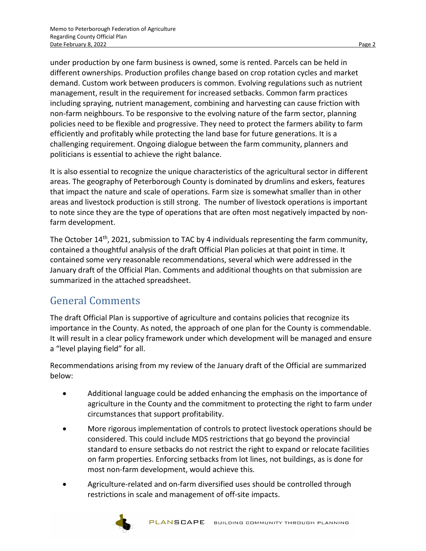under production by one farm business is owned, some is rented. Parcels can be held in different ownerships. Production profiles change based on crop rotation cycles and market demand. Custom work between producers is common. Evolving regulations such as nutrient management, result in the requirement for increased setbacks. Common farm practices including spraying, nutrient management, combining and harvesting can cause friction with non-farm neighbours. To be responsive to the evolving nature of the farm sector, planning policies need to be flexible and progressive. They need to protect the farmers ability to farm efficiently and profitably while protecting the land base for future generations. It is a challenging requirement. Ongoing dialogue between the farm community, planners and politicians is essential to achieve the right balance.

It is also essential to recognize the unique characteristics of the agricultural sector in different areas. The geography of Peterborough County is dominated by drumlins and eskers, features that impact the nature and scale of operations. Farm size is somewhat smaller than in other areas and livestock production is still strong. The number of livestock operations is important to note since they are the type of operations that are often most negatively impacted by nonfarm development.

The October 14<sup>th</sup>, 2021, submission to TAC by 4 individuals representing the farm community, contained a thoughtful analysis of the draft Official Plan policies at that point in time. It contained some very reasonable recommendations, several which were addressed in the January draft of the Official Plan. Comments and additional thoughts on that submission are summarized in the attached spreadsheet.

## General Comments

The draft Official Plan is supportive of agriculture and contains policies that recognize its importance in the County. As noted, the approach of one plan for the County is commendable. It will result in a clear policy framework under which development will be managed and ensure a "level playing field" for all.

Recommendations arising from my review of the January draft of the Official are summarized below:

- Additional language could be added enhancing the emphasis on the importance of agriculture in the County and the commitment to protecting the right to farm under circumstances that support profitability.
- More rigorous implementation of controls to protect livestock operations should be considered. This could include MDS restrictions that go beyond the provincial standard to ensure setbacks do not restrict the right to expand or relocate facilities on farm properties. Enforcing setbacks from lot lines, not buildings, as is done for most non-farm development, would achieve this.
- Agriculture-related and on-farm diversified uses should be controlled through restrictions in scale and management of off-site impacts.

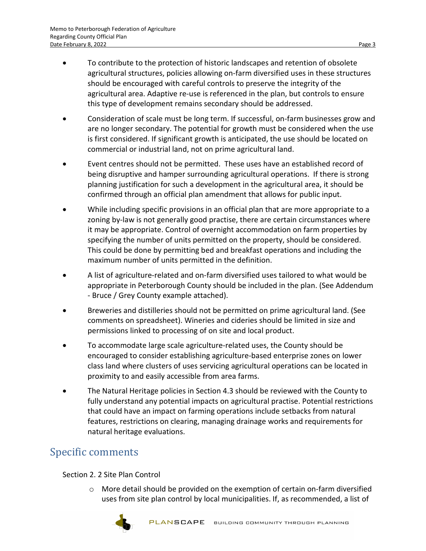- To contribute to the protection of historic landscapes and retention of obsolete agricultural structures, policies allowing on-farm diversified uses in these structures should be encouraged with careful controls to preserve the integrity of the agricultural area. Adaptive re-use is referenced in the plan, but controls to ensure this type of development remains secondary should be addressed.
- Consideration of scale must be long term. If successful, on-farm businesses grow and are no longer secondary. The potential for growth must be considered when the use is first considered. If significant growth is anticipated, the use should be located on commercial or industrial land, not on prime agricultural land.
- Event centres should not be permitted. These uses have an established record of being disruptive and hamper surrounding agricultural operations. If there is strong planning justification for such a development in the agricultural area, it should be confirmed through an official plan amendment that allows for public input.
- While including specific provisions in an official plan that are more appropriate to a zoning by-law is not generally good practise, there are certain circumstances where it may be appropriate. Control of overnight accommodation on farm properties by specifying the number of units permitted on the property, should be considered. This could be done by permitting bed and breakfast operations and including the maximum number of units permitted in the definition.
- A list of agriculture-related and on-farm diversified uses tailored to what would be appropriate in Peterborough County should be included in the plan. (See Addendum - Bruce / Grey County example attached).
- Breweries and distilleries should not be permitted on prime agricultural land. (See comments on spreadsheet). Wineries and cideries should be limited in size and permissions linked to processing of on site and local product.
- To accommodate large scale agriculture-related uses, the County should be encouraged to consider establishing agriculture-based enterprise zones on lower class land where clusters of uses servicing agricultural operations can be located in proximity to and easily accessible from area farms.
- The Natural Heritage policies in Section 4.3 should be reviewed with the County to fully understand any potential impacts on agricultural practise. Potential restrictions that could have an impact on farming operations include setbacks from natural features, restrictions on clearing, managing drainage works and requirements for natural heritage evaluations.

## Specific comments

Section 2. 2 Site Plan Control

 $\circ$  More detail should be provided on the exemption of certain on-farm diversified uses from site plan control by local municipalities. If, as recommended, a list of

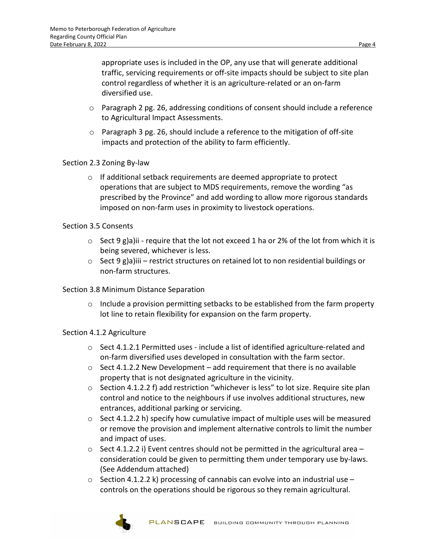appropriate uses is included in the OP, any use that will generate additional traffic, servicing requirements or off-site impacts should be subject to site plan control regardless of whether it is an agriculture-related or an on-farm diversified use.

- $\circ$  Paragraph 2 pg. 26, addressing conditions of consent should include a reference to Agricultural Impact Assessments.
- $\circ$  Paragraph 3 pg. 26, should include a reference to the mitigation of off-site impacts and protection of the ability to farm efficiently.

#### Section 2.3 Zoning By-law

 $\circ$  If additional setback requirements are deemed appropriate to protect operations that are subject to MDS requirements, remove the wording "as prescribed by the Province" and add wording to allow more rigorous standards imposed on non-farm uses in proximity to livestock operations.

#### Section 3.5 Consents

- $\circ$  Sect 9 g)a)ii require that the lot not exceed 1 ha or 2% of the lot from which it is being severed, whichever is less.
- $\circ$  Sect 9 g)a)iii restrict structures on retained lot to non residential buildings or non-farm structures.

#### Section 3.8 Minimum Distance Separation

 $\circ$  Include a provision permitting setbacks to be established from the farm property lot line to retain flexibility for expansion on the farm property.

#### Section 4.1.2 Agriculture

- $\circ$  Sect 4.1.2.1 Permitted uses include a list of identified agriculture-related and on-farm diversified uses developed in consultation with the farm sector.
- $\circ$  Sect 4.1.2.2 New Development add requirement that there is no available property that is not designated agriculture in the vicinity.
- $\circ$  Section 4.1.2.2 f) add restriction "whichever is less" to lot size. Require site plan control and notice to the neighbours if use involves additional structures, new entrances, additional parking or servicing.
- $\circ$  Sect 4.1.2.2 h) specify how cumulative impact of multiple uses will be measured or remove the provision and implement alternative controls to limit the number and impact of uses.
- $\circ$  Sect 4.1.2.2 i) Event centres should not be permitted in the agricultural area consideration could be given to permitting them under temporary use by-laws. (See Addendum attached)
- $\circ$  Section 4.1.2.2 k) processing of cannabis can evolve into an industrial use controls on the operations should be rigorous so they remain agricultural.

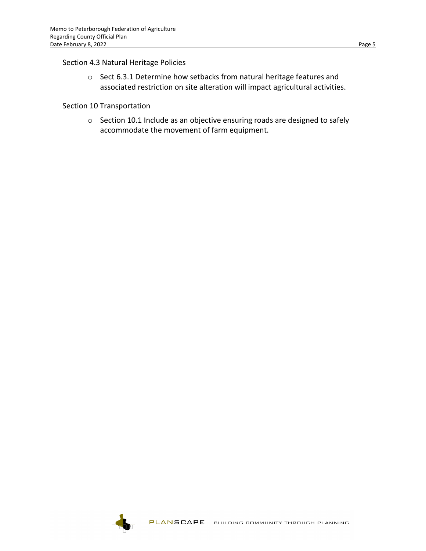#### Section 4.3 Natural Heritage Policies

o Sect 6.3.1 Determine how setbacks from natural heritage features and associated restriction on site alteration will impact agricultural activities.

#### Section 10 Transportation

o Section 10.1 Include as an objective ensuring roads are designed to safely accommodate the movement of farm equipment.

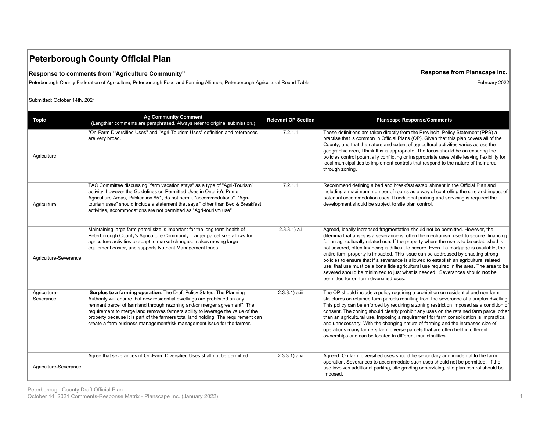## **Peterborough County Official Plan**

#### **Response to comments from "Agriculture Community"**

Peterborough County Federation of Agriculture, Peterborough Food and Farming Alliance, Peterborough Agricultural Round Table

Submitted: October 14th, 2021

| <b>Topic</b>              | <b>Ag Community Comment</b><br>(Lengthier comments are paraphrased. Always refer to original submission.)                                                                                                                                                                                                                                                                                                                                                                           | <b>Relevant OP Section</b> | <b>Planscape Response/Comments</b>                                                                                                                                                                                                                                                                                                                                                                                                                                                                                                                                                                                                                                                                                                                               |
|---------------------------|-------------------------------------------------------------------------------------------------------------------------------------------------------------------------------------------------------------------------------------------------------------------------------------------------------------------------------------------------------------------------------------------------------------------------------------------------------------------------------------|----------------------------|------------------------------------------------------------------------------------------------------------------------------------------------------------------------------------------------------------------------------------------------------------------------------------------------------------------------------------------------------------------------------------------------------------------------------------------------------------------------------------------------------------------------------------------------------------------------------------------------------------------------------------------------------------------------------------------------------------------------------------------------------------------|
| Agriculture               | "On-Farm Diversified Uses" and "Agri-Tourism Uses" definition and references<br>are very broad.                                                                                                                                                                                                                                                                                                                                                                                     | 7.2.1.1                    | These definitions are taken directly from the Provincial Policy Statement (PPS) a<br>practise that is common in Official Plans (OP). Given that this plan covers all of the<br>County, and that the nature and extent of agricultural activities varies across the<br>geographic area, I think this is appropriate. The focus should be on ensuring the<br>policies control potentially conflicting or inappropriate uses while leaving flexibility for<br>local municipalities to implement controls that respond to the nature of their area<br>through zoning.                                                                                                                                                                                                |
| Agriculture               | TAC Committee discussing "farm vacation stays" as a type of "Agri-Tourism"<br>activity, however the Guidelines on Permitted Uses in Ontario's Prime<br>Agriculture Areas, Publication 851, do not permit "accommodations". "Agri-<br>tourism uses" should include a statement that says " other than Bed & Breakfast<br>activities, accommodations are not permitted as "Agri-tourism use"                                                                                          | 7.2.1.1                    | Recommend defining a bed and breakfast establishment in the Official Plan and<br>including a maximum number of rooms as a way of controlling the size and impact of<br>potential accommodation uses. If additional parking and servicing is required the<br>development should be subject to site plan control.                                                                                                                                                                                                                                                                                                                                                                                                                                                  |
| Agriculture-Severance     | Maintaining large farm parcel size is important for the long term health of<br>Peterborough County's Agriculture Community. Larger parcel size allows for<br>agriculture activities to adapt to market changes, makes moving large<br>equipment easier, and supports Nutrient Management loads.                                                                                                                                                                                     | $2.3.3.1$ ) a.i            | Agreed, ideally increased fragmentation should not be permitted. However, the<br>dilemma that arises is a severance is often the mechanism used to secure financing<br>for an agriculturally related use. If the property where the use is to be established is<br>not severed, often financing is difficult to secure. Even if a mortgage is available, the<br>entire farm property is impacted. This issue can be addressed by enacting strong<br>policies to ensure that if a severance is allowed to establish an agricultural related<br>use, that use must be a bona fide agricultural use required in the area. The area to be<br>severed should be minimized to just what is needed. Severances should not be<br>permitted for on-farm diversified uses. |
| Agriculture-<br>Severance | Surplus to a farming operation. The Draft Policy States: The Planning<br>Authority will ensure that new residential dwellings are prohibited on any<br>remnant parcel of farmland through rezoning and/or merger agreement". The<br>requirement to merge land removes farmers ability to leverage the value of the<br>property because it is part of the farmers total land holding. The requirement can<br>create a farm business management/risk management issue for the farmer. | 2.3.3.1) a.iii             | The OP should include a policy requiring a prohibition on residential and non farm<br>structures on retained farm parcels resulting from the severance of a surplus dwelling.<br>This policy can be enforced by requiring a zoning restriction imposed as a condition of<br>consent. The zoning should clearly prohibit any uses on the retained farm parcel other<br>than an agricultural use. Imposing a requirement for farm consolidation is impractical<br>and unnecessary. With the changing nature of farming and the increased size of<br>operations many farmers farm diverse parcels that are often held in different<br>ownerships and can be located in different municipalities.                                                                    |
| Agriculture-Severance     | Agree that severances of On-Farm Diversified Uses shall not be permitted                                                                                                                                                                                                                                                                                                                                                                                                            | 2.3.3.1) a.vi              | Agreed. On farm diversified uses should be secondary and incidental to the farm<br>operation. Severances to accommodate such uses should not be permitted. If the<br>use involves additional parking, site grading or servicing, site plan control should be<br>imposed.                                                                                                                                                                                                                                                                                                                                                                                                                                                                                         |

#### **Response from Planscape Inc.**

February 2022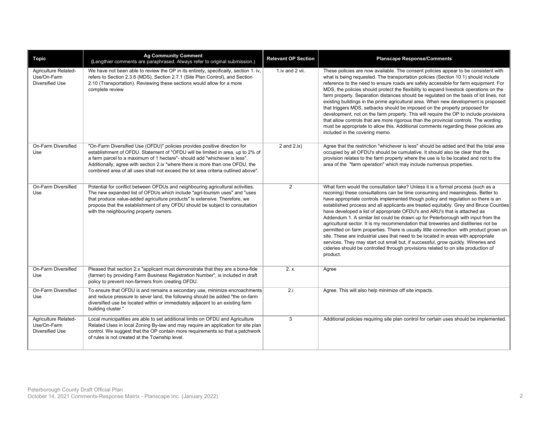| <b>Topic</b>                                           | <b>Ag Community Comment</b><br>(Lengthier comments are paraphrased. Always refer to original submission.)                                                                                                                                                                                                                                                                                                      | <b>Relevant OP Section</b> | <b>Planscape Response/Comments</b>                                                                                                                                                                                                                                                                                                                                                                                                                                                                                                                                                                                                                                                                                                                                                                                                                                                                                                                                            |
|--------------------------------------------------------|----------------------------------------------------------------------------------------------------------------------------------------------------------------------------------------------------------------------------------------------------------------------------------------------------------------------------------------------------------------------------------------------------------------|----------------------------|-------------------------------------------------------------------------------------------------------------------------------------------------------------------------------------------------------------------------------------------------------------------------------------------------------------------------------------------------------------------------------------------------------------------------------------------------------------------------------------------------------------------------------------------------------------------------------------------------------------------------------------------------------------------------------------------------------------------------------------------------------------------------------------------------------------------------------------------------------------------------------------------------------------------------------------------------------------------------------|
| Agriculture Related-<br>Use/On-Farm<br>Diversified Use | We have not been able to review the OP in its entirety, specifically, section 1. iv,<br>refers to Section 2.3.6 (MDS), Section 2.7.1 (Site Plan Control), and Section<br>2.10 (Transportation). Reviewing these sections would allow for a more<br>complete review                                                                                                                                             | 1.iv and 2 vii.            | These policies are now available. The consent policies appear to be consistent with<br>what is being requested. The transportation policies (Section 10.1) should include<br>reference to the need to ensure roads are safely accessible for farm equipment. For<br>MDS, the policies should protect the flexibility to expand livestock operations on the<br>farm property. Separation distances should be regulated on the basis of lot lines, not<br>existing buildings in the prime agricultural area. When new development is proposed<br>that triggers MDS, setbacks should be imposed on the property proposed for<br>development, not on the farm property. This will require the OP to include provisions<br>that allow controls that are more rigorous than the provincial controls. The wording<br>must be appropriate to allow this. Additional comments regarding these policies are<br>included in the covering memo.                                           |
| On-Farm Diversified<br>Use                             | "On-Farm Diversified Use (OFDU)" policies provides positive direction for<br>establishment of OFDU. Statement of "OFDU will be limited in area, up to 2% of<br>a farm parcel to a maximum of 1 hectare"- should add "whichever is less".<br>Additionally, agree with section 2.ix "where there is more than one OFDU, the<br>combined area of all uses shall not exceed the lot area criteria outlined above". | 2 and $2(ix)$              | Agree that the restriction "whichever is less" should be added and that the total area<br>occupied by all OFDU's should be cumulative. It should also be clear that the<br>provision relates to the farm property where the use is to be located and not to the<br>area of the "farm operation" which may include numerous properties.                                                                                                                                                                                                                                                                                                                                                                                                                                                                                                                                                                                                                                        |
| On-Farm Diversified<br>Use                             | Potential for conflict between OFDUs and neighbouring agricultural activities.<br>The new expanded list of OFDUs which include "agri-tourism uses" and "uses<br>that produce value-added agriculture products" is extensive. Therefore, we<br>propose that the establishment of any OFDU should be subject to consultation<br>with the neighbouring property owners.                                           | 2                          | What form would the consultation take? Unless it is a formal process (such as a<br>rezoning) these consultations can be time consuming and meaningless. Better to<br>have appropriate controls implemented though policy and regulation so there is an<br>established process and all applicants are treated equitably. Grey and Bruce Counties<br>have developed a list of appropriate OFDU's and ARU's that is attached as<br>Addendum 1. A similar list could be drawn up for Peterborough with input from the<br>agricultural sector. It is my recommendation that breweries and distilleries not be<br>permitted on farm properties. There is usually little connection with product grown on<br>site. These are industrial uses that need to be located in areas with appropriate<br>services. They may start out small but, if successful, grow quickly. Wineries and<br>cideries should be controlled through provisions related to on site production of<br>product. |
| On-Farm Diversified<br>Use                             | Pleased that section 2.x "applicant must demonstrate that they are a bona-fide<br>(farmer) by providing Farm Business Registration Number", is included in draft<br>policy to prevent non-farmers from creating OFDU.                                                                                                                                                                                          | 2. x.                      | Agree                                                                                                                                                                                                                                                                                                                                                                                                                                                                                                                                                                                                                                                                                                                                                                                                                                                                                                                                                                         |
| On-Farm Diversified<br>Use                             | To ensure that OFDU is and remains a secondary use, minimize encroachments<br>and reduce pressure to sever land, the following should be added "the on-farm<br>diversified use be located within or immediately adjacent to an existing farm<br>building cluster."                                                                                                                                             | 2.i                        | Agree. This will also help minimize off site impacts.                                                                                                                                                                                                                                                                                                                                                                                                                                                                                                                                                                                                                                                                                                                                                                                                                                                                                                                         |
| Agriculture Related-<br>Use/On-Farm<br>Diversified Use | Local municipalities are able to set additional limits on OFDU and Agriculture<br>Related Uses in local Zoning By-law and may require an application for site plan<br>control. We suggest that the OP contain more requirements so that a patchwork<br>of rules is not created at the Township level.                                                                                                          | 3                          | Additional policies requiring site plan control for certain uses should be implemented.                                                                                                                                                                                                                                                                                                                                                                                                                                                                                                                                                                                                                                                                                                                                                                                                                                                                                       |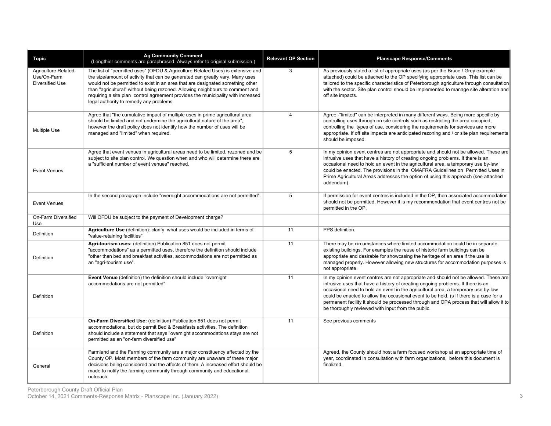| <b>Topic</b>                                           | <b>Ag Community Comment</b><br>(Lengthier comments are paraphrased. Always refer to original submission.)                                                                                                                                                                                                                                                                                                                                                          | <b>Relevant OP Section</b> | <b>Planscape Response/Comments</b>                                                                                                                                                                                                                                                                                                                                                                                                                                                                      |
|--------------------------------------------------------|--------------------------------------------------------------------------------------------------------------------------------------------------------------------------------------------------------------------------------------------------------------------------------------------------------------------------------------------------------------------------------------------------------------------------------------------------------------------|----------------------------|---------------------------------------------------------------------------------------------------------------------------------------------------------------------------------------------------------------------------------------------------------------------------------------------------------------------------------------------------------------------------------------------------------------------------------------------------------------------------------------------------------|
| Agriculture Related-<br>Use/On-Farm<br>Diversified Use | The list of "permitted uses" (OFDU & Agriculture Related Uses) is extensive and<br>the size/amount of activity that can be generated can greatly vary. Many uses<br>would not be permitted to exist in an area that are designated something other<br>than "agricultural" without being rezoned. Allowing neighbours to comment and<br>requiring a site plan control agreement provides the municipality with increased<br>legal authority to remedy any problems. | 3                          | As previously stated a list of appropriate uses (as per the Bruce / Grey example<br>attached) could be attached to the OP specifying appropriate uses. This list can be<br>tailored to the specific characteristics of Peterborough agriculture through consultation<br>with the sector. Site plan control should be implemented to manage site alteration and<br>off site impacts.                                                                                                                     |
| <b>Multiple Use</b>                                    | Agree that "the cumulative impact of multiple uses in prime agricultural area<br>should be limited and not undermine the agricultural nature of the area",<br>however the draft policy does not identify how the number of uses will be<br>managed and "limited" when required.                                                                                                                                                                                    |                            | Agree -"limited" can be interpreted in many different ways. Being more specific by<br>controlling uses through on site controls such as restricting the area occupied,<br>controlling the types of use, considering the requirements for services are more<br>appropriate. If off site impacts are anticipated rezoning and / or site plan requirements<br>should be imposed.                                                                                                                           |
| <b>Event Venues</b>                                    | Agree that event venues in agricultural areas need to be limited, rezoned and be<br>subject to site plan control. We question when and who will determine there are<br>a "sufficient number of event venues" reached.                                                                                                                                                                                                                                              |                            | In my opinion event centres are not appropriate and should not be allowed. These are<br>intrusive uses that have a history of creating ongoing problems. If there is an<br>occasional need to hold an event in the agricultural area, a temporary use by-law<br>could be enacted. The provisions in the OMAFRA Guidelines on Permitted Uses in<br>Prime Agricultural Areas addresses the option of using this approach (see attached<br>addendum)                                                       |
| <b>Event Venues</b>                                    | In the second paragraph include "overnight accommodations are not permitted"                                                                                                                                                                                                                                                                                                                                                                                       | 5                          | If permission for event centres is included in the OP, then associated accommodation<br>should not be permitted. However it is my recommendation that event centres not be<br>permitted in the OP.                                                                                                                                                                                                                                                                                                      |
| On-Farm Diversified<br>Use                             | Will OFDU be subject to the payment of Development charge?                                                                                                                                                                                                                                                                                                                                                                                                         |                            |                                                                                                                                                                                                                                                                                                                                                                                                                                                                                                         |
| Definition                                             | Agriculture Use (definition): clarify what uses would be included in terms of<br>"value-retaining facilities"                                                                                                                                                                                                                                                                                                                                                      | 11                         | PPS definition.                                                                                                                                                                                                                                                                                                                                                                                                                                                                                         |
| Definition                                             | Agri-tourism uses: (definition) Publication 851 does not permit<br>"accommodations" as a permitted uses, therefore the definition should include<br>"other than bed and breakfast activities, accommodations are not permitted as<br>an "agri-tourism use".                                                                                                                                                                                                        | 11                         | There may be circumstances where limited accommodation could be in separate<br>existing buildings. For examples the reuse of historic farm buildings can be<br>appropriate and desirable for showcasing the heritage of an area if the use is<br>managed properly. However allowing new structures for accommodation purposes is<br>not appropriate.                                                                                                                                                    |
| Definition                                             | Event Venue (definition) the definition should include "overnight<br>accommodations are not permitted"                                                                                                                                                                                                                                                                                                                                                             |                            | In my opinion event centres are not appropriate and should not be allowed. These are<br>intrusive uses that have a history of creating ongoing problems. If there is an<br>occasional need to hold an event in the agricultural area, a temporary use by-law<br>could be enacted to allow the occasional event to be held. (s If there is a case for a<br>permanent facility it should be processed through and OPA process that will allow it to<br>be thoroughly reviewed with input from the public. |
| Definition                                             | On-Farm Diversified Use: (definition) Publication 851 does not permit<br>accommodations, but do permit Bed & Breakfasts activities. The definition<br>should include a statement that says "overnight accommodations stays are not<br>permitted as an "on-farm diversified use"                                                                                                                                                                                    | 11                         | See previous comments                                                                                                                                                                                                                                                                                                                                                                                                                                                                                   |
| General                                                | Farmland and the Farming community are a major constituency affected by the<br>County OP. Most members of the farm community are unaware of these major<br>decisions being considered and the affects of them. A increased effort should be<br>made to notify the farming community through community and educational<br>outreach.                                                                                                                                 |                            | Agreed, the County should host a farm focused workshop at an appropriate time of<br>year, coordinated in consultation with farm organizations, before this document is<br>finalized.                                                                                                                                                                                                                                                                                                                    |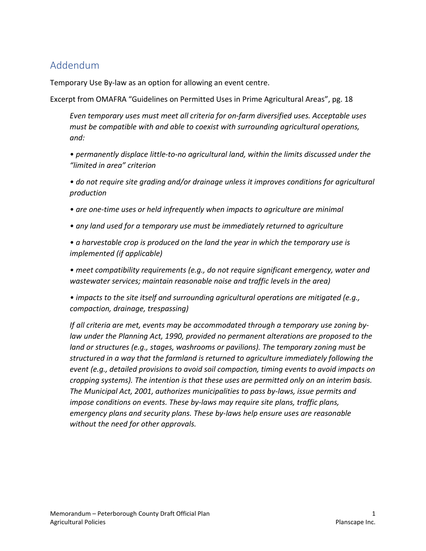## Addendum

Temporary Use By-law as an option for allowing an event centre.

Excerpt from OMAFRA "Guidelines on Permitted Uses in Prime Agricultural Areas", pg. 18

*Even temporary uses must meet all criteria for on-farm diversified uses. Acceptable uses must be compatible with and able to coexist with surrounding agricultural operations, and:* 

*• permanently displace little-to-no agricultural land, within the limits discussed under the "limited in area" criterion* 

*• do not require site grading and/or drainage unless it improves conditions for agricultural production*

- *are one-time uses or held infrequently when impacts to agriculture are minimal*
- *any land used for a temporary use must be immediately returned to agriculture*

*• a harvestable crop is produced on the land the year in which the temporary use is implemented (if applicable)* 

• meet compatibility requirements (e.g., do not require significant emergency, water and *wastewater services; maintain reasonable noise and traffic levels in the area)* 

*• impacts to the site itself and surrounding agricultural operations are mitigated (e.g., compaction, drainage, trespassing)* 

*If all criteria are met, events may be accommodated through a temporary use zoning bylaw under the Planning Act, 1990, provided no permanent alterations are proposed to the land or structures (e.g., stages, washrooms or pavilions). The temporary zoning must be structured in a way that the farmland is returned to agriculture immediately following the event (e.g., detailed provisions to avoid soil compaction, timing events to avoid impacts on cropping systems). The intention is that these uses are permitted only on an interim basis. The Municipal Act, 2001, authorizes municipalities to pass by-laws, issue permits and impose conditions on events. These by-laws may require site plans, traffic plans, emergency plans and security plans. These by-laws help ensure uses are reasonable without the need for other approvals.*